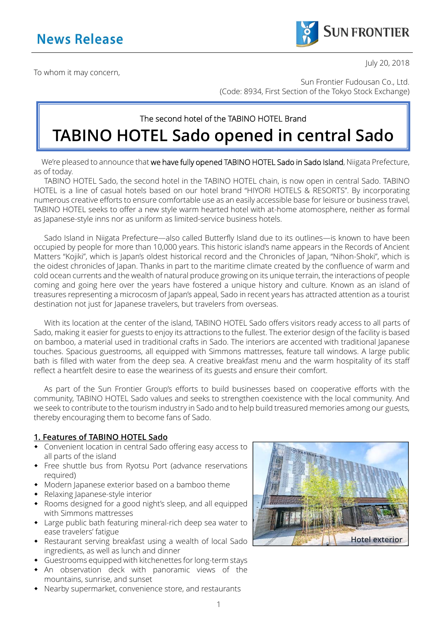

July 20, 2018

To whom it may concern,

Sun Frontier Fudousan Co., Ltd. (Code: 8934, First Section of the Tokyo Stock Exchange)

# The second hotel of the TABINO HOTEL Brand **TABINO HOTEL Sado opened in central Sado**

We're pleased to announce that we have fully opened TABINO HOTEL Sado in Sado Island, Niigata Prefecture, as of today.

TABINO HOTEL Sado, the second hotel in the TABINO HOTEL chain, is now open in central Sado. TABINO HOTEL is a line of casual hotels based on our hotel brand "HIYORI HOTELS & RESORTS". By incorporating numerous creative efforts to ensure comfortable use as an easily accessible base for leisure or business travel, TABINO HOTEL seeks to offer a new style warm hearted hotel with at-home atomosphere, neither as formal as Japanese-style inns nor as uniform as limited-service business hotels.

Sado Island in Niigata Prefecture—also called Butterfly Island due to its outlines—is known to have been occupied by people for more than 10,000 years. This historic island's name appears in the Records of Ancient Matters "Kojiki", which is Japan's oldest historical record and the Chronicles of Japan, "Nihon-Shoki", which is the oidest chronicles of Japan. Thanks in part to the maritime climate created by the confluence of warm and cold ocean currents and the wealth of natural produce growing on its unique terrain, the interactions of people coming and going here over the years have fostered a unique history and culture. Known as an island of treasures representing a microcosm of Japan's appeal, Sado in recent years has attracted attention as a tourist destination not just for Japanese travelers, but travelers from overseas.

With its location at the center of the island, TABINO HOTEL Sado offers visitors ready access to all parts of Sado, making it easier for guests to enjoy its attractions to the fullest. The exterior design of the facility is based on bamboo, a material used in traditional crafts in Sado. The interiors are accented with traditional Japanese touches. Spacious guestrooms, all equipped with Simmons mattresses, feature tall windows. A large public bath is filled with water from the deep sea. A creative breakfast menu and the warm hospitality of its staff reflect a heartfelt desire to ease the weariness of its guests and ensure their comfort.

As part of the Sun Frontier Group's efforts to build businesses based on cooperative efforts with the community, TABINO HOTEL Sado values and seeks to strengthen coexistence with the local community. And we seek to contribute to the tourism industry in Sado and to help build treasured memories among our guests, thereby encouraging them to become fans of Sado.

#### **1. Features of TABINO HOTEL Sado**

- Convenient location in central Sado offering easy access to all parts of the island
- Free shuttle bus from Ryotsu Port (advance reservations required)
- Modern Japanese exterior based on a bamboo theme
- Relaxing Japanese-style interior
- Rooms designed for a good night's sleep, and all equipped with Simmons mattresses
- Large public bath featuring mineral-rich deep sea water to ease travelers' fatigue
- Restaurant serving breakfast using a wealth of local Sado ingredients, as well as lunch and dinner
- Guestrooms equipped with kitchenettes for long-term stays
- An observation deck with panoramic views of the mountains, sunrise, and sunset
- Nearby supermarket, convenience store, and restaurants

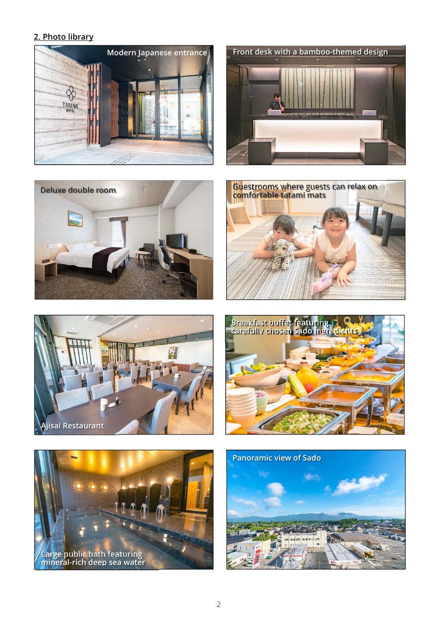## **2. Photo library**